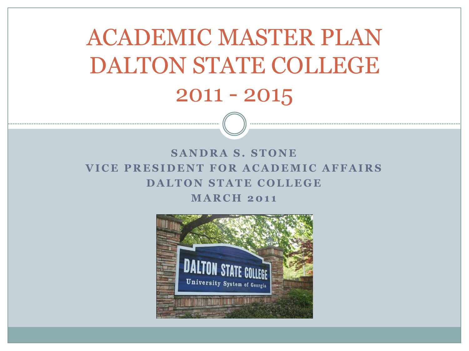ACADEMIC MASTER PLAN DALTON STATE COLLEGE 2011 - 2015

#### **SANDRA S. STONE VICE PRESIDENT FOR ACADEMIC AFFAIRS DALTON STATE COLLEGE MARCH 2011**

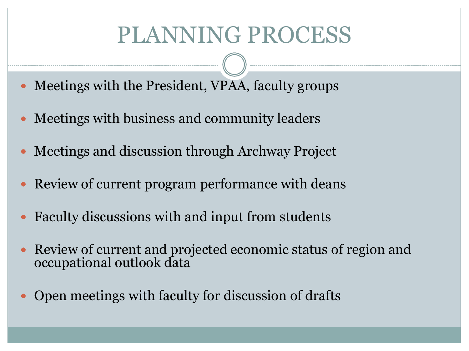### PLANNING PROCESS

- Meetings with the President, VPAA, faculty groups
- Meetings with business and community leaders
- Meetings and discussion through Archway Project
- Review of current program performance with deans
- Faculty discussions with and input from students
- Review of current and projected economic status of region and occupational outlook data
- Open meetings with faculty for discussion of drafts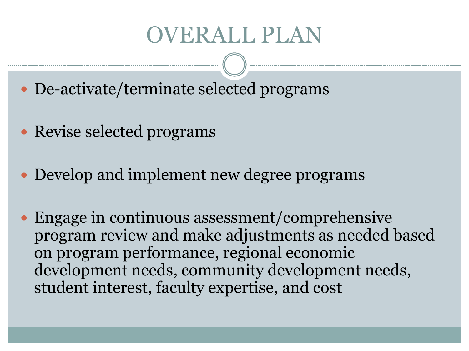- De-activate/terminate selected programs
- Revise selected programs
- Develop and implement new degree programs
- Engage in continuous assessment/comprehensive program review and make adjustments as needed based on program performance, regional economic development needs, community development needs, student interest, faculty expertise, and cost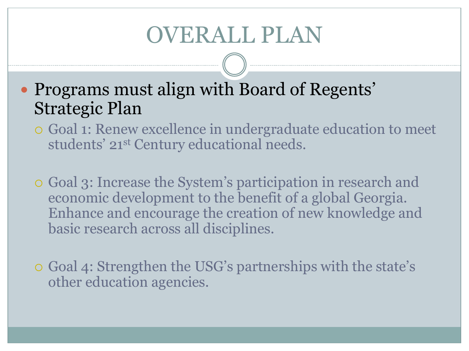• Programs must align with Board of Regents' Strategic Plan

- Goal 1: Renew excellence in undergraduate education to meet students' 21<sup>st</sup> Century educational needs.
- Goal 3: Increase the System's participation in research and economic development to the benefit of a global Georgia. Enhance and encourage the creation of new knowledge and basic research across all disciplines.
- Goal 4: Strengthen the USG's partnerships with the state's other education agencies.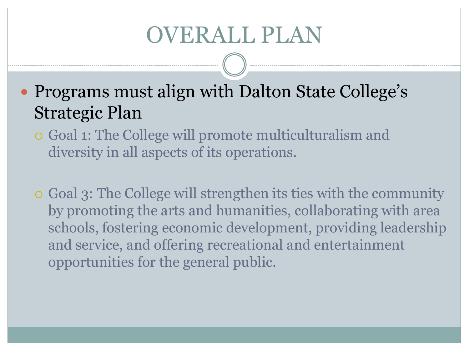• Programs must align with Dalton State College's Strategic Plan

- Goal 1: The College will promote multiculturalism and diversity in all aspects of its operations.
- Goal 3: The College will strengthen its ties with the community by promoting the arts and humanities, collaborating with area schools, fostering economic development, providing leadership and service, and offering recreational and entertainment opportunities for the general public.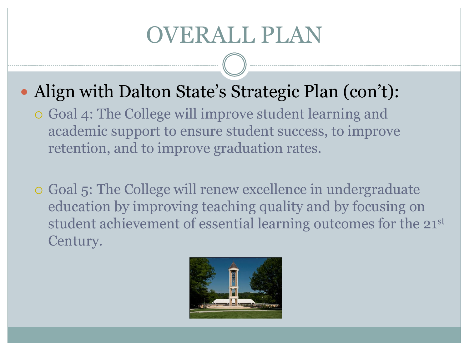- Align with Dalton State's Strategic Plan (con't):
	- Goal 4: The College will improve student learning and academic support to ensure student success, to improve retention, and to improve graduation rates.
	- Goal 5: The College will renew excellence in undergraduate education by improving teaching quality and by focusing on student achievement of essential learning outcomes for the 21st Century.

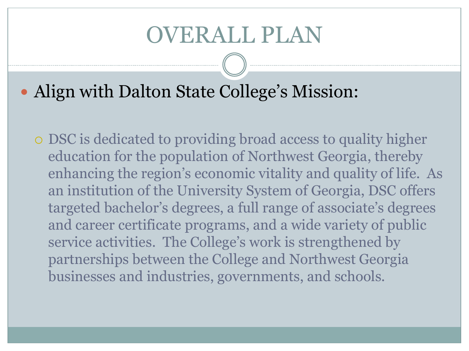• Align with Dalton State College's Mission:

 DSC is dedicated to providing broad access to quality higher education for the population of Northwest Georgia, thereby enhancing the region's economic vitality and quality of life. As an institution of the University System of Georgia, DSC offers targeted bachelor's degrees, a full range of associate's degrees and career certificate programs, and a wide variety of public service activities. The College's work is strengthened by partnerships between the College and Northwest Georgia businesses and industries, governments, and schools.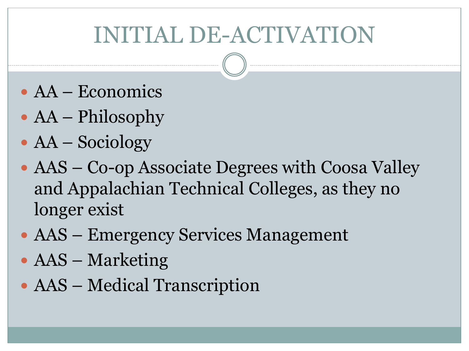# INITIAL DE-ACTIVATION

- AA Economics
- AA Philosophy
- AA Sociology
- AAS Co-op Associate Degrees with Coosa Valley and Appalachian Technical Colleges, as they no longer exist
- AAS Emergency Services Management
- AAS Marketing
- AAS Medical Transcription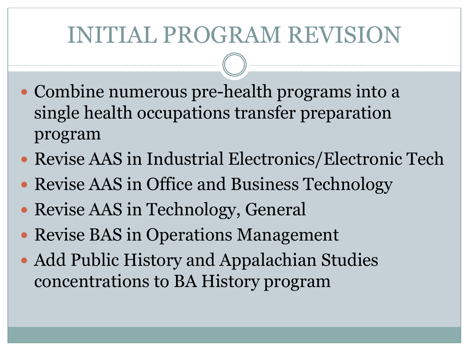# INITIAL PROGRAM REVISION

- Combine numerous pre-health programs into a single health occupations transfer preparation program
- Revise AAS in Industrial Electronics/Electronic Tech
- Revise AAS in Office and Business Technology
- Revise AAS in Technology, General
- Revise BAS in Operations Management
- Add Public History and Appalachian Studies concentrations to BA History program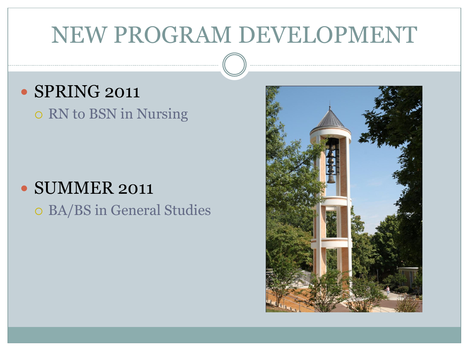#### · SPRING 2011

o RN to BSN in Nursing

#### SUMMER 2011

BA/BS in General Studies

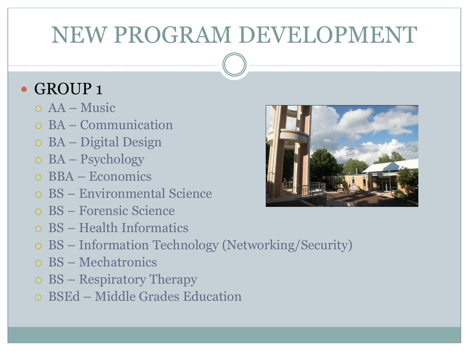#### • GROUP 1

- AA Music
- BA Communication
- BA Digital Design
- BA Psychology
- BBA Economics
- BS Environmental Science
- BS Forensic Science
- BS Health Informatics
- BS Information Technology (Networking/Security)
- BS Mechatronics
- BS Respiratory Therapy
- BSEd Middle Grades Education

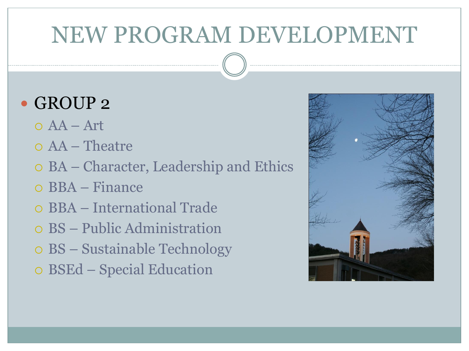- GROUP 2
	- $O<sub>A</sub>A Art$
	- AA Theatre
	- BA Character, Leadership and Ethics
	- BBA Finance
	- BBA International Trade
	- BS Public Administration
	- BS Sustainable Technology
	- BSEd Special Education

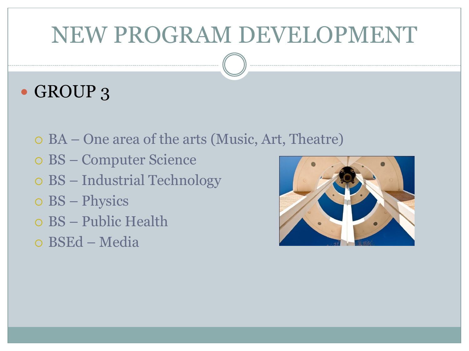#### • GROUP 3

- BA One area of the arts (Music, Art, Theatre)
- BS Computer Science
- BS Industrial Technology
- BS Physics
- BS Public Health
- BSEd Media

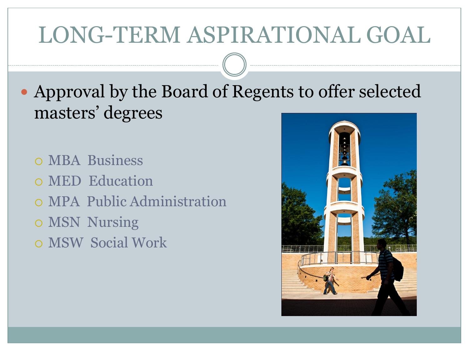# LONG-TERM ASPIRATIONAL GOAL

 Approval by the Board of Regents to offer selected masters' degrees

 MBA Business MED Education MPA Public Administration o MSN Nursing

MSW Social Work

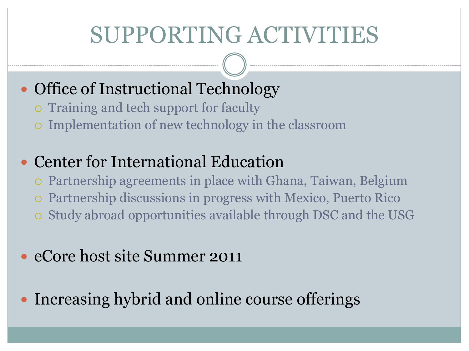#### • Office of Instructional Technology

- Training and tech support for faculty
- Implementation of new technology in the classroom

#### • Center for International Education

- Partnership agreements in place with Ghana, Taiwan, Belgium
- Partnership discussions in progress with Mexico, Puerto Rico
- Study abroad opportunities available through DSC and the USG

#### • eCore host site Summer 2011

Increasing hybrid and online course offerings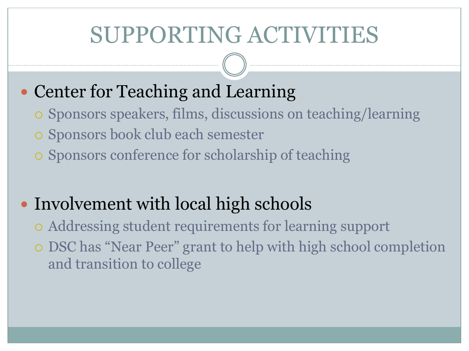#### • Center for Teaching and Learning

- Sponsors speakers, films, discussions on teaching/learning
- o Sponsors book club each semester
- Sponsors conference for scholarship of teaching

#### • Involvement with local high schools

- Addressing student requirements for learning support
- DSC has "Near Peer" grant to help with high school completion and transition to college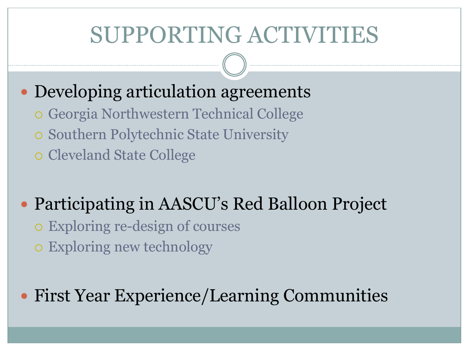- Developing articulation agreements
	- Georgia Northwestern Technical College
	- o Southern Polytechnic State University
	- o Cleveland State College
- Participating in AASCU's Red Balloon Project
	- Exploring re-design of courses
	- Exploring new technology

#### First Year Experience/Learning Communities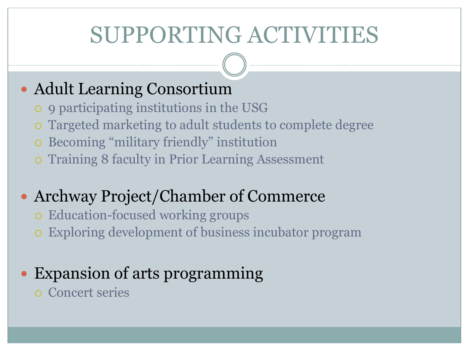#### Adult Learning Consortium

- 9 participating institutions in the USG
- Targeted marketing to adult students to complete degree
- Becoming "military friendly" institution
- Training 8 faculty in Prior Learning Assessment

#### Archway Project/Chamber of Commerce

- Education-focused working groups
- Exploring development of business incubator program

#### • Expansion of arts programming

Concert series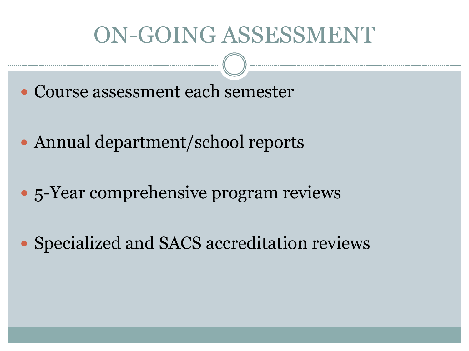#### ON-GOING ASSESSMENT

- Course assessment each semester
- Annual department/school reports
- 5-Year comprehensive program reviews
- Specialized and SACS accreditation reviews